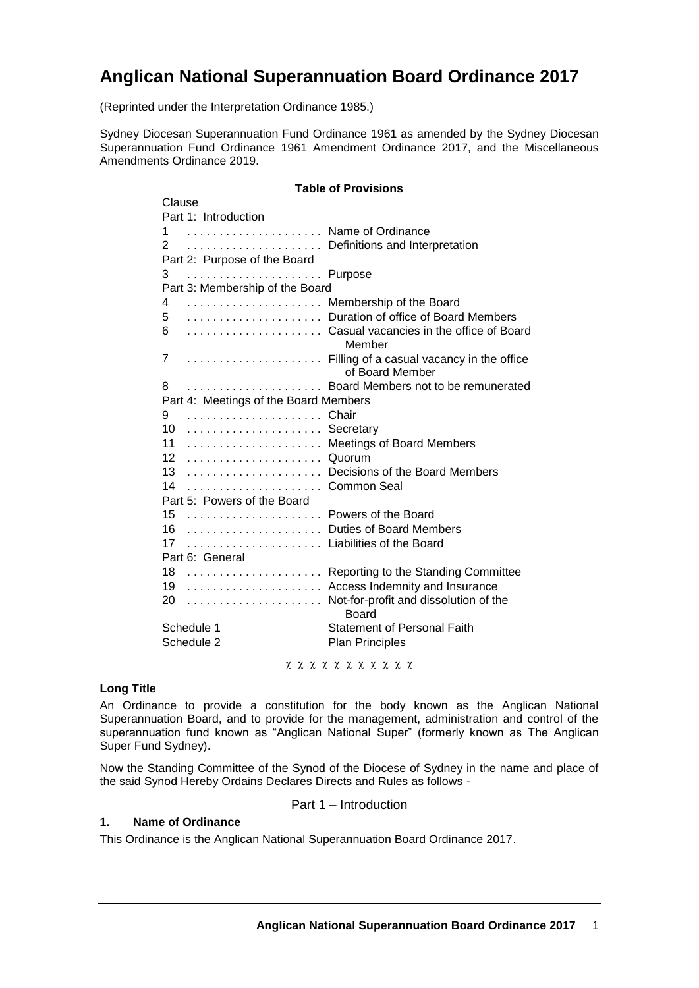# **Anglican National Superannuation Board Ordinance 2017**

(Reprinted under the Interpretation Ordinance 1985.)

Sydney Diocesan Superannuation Fund Ordinance 1961 as amended by the Sydney Diocesan Superannuation Fund Ordinance 1961 Amendment Ordinance 2017, and the Miscellaneous Amendments Ordinance 2019.

# **Table of Provisions**

| Clause                                |                   |                                           |
|---------------------------------------|-------------------|-------------------------------------------|
| Part 1: Introduction                  |                   |                                           |
| 1                                     | Name of Ordinance |                                           |
| 2                                     |                   | Definitions and Interpretation            |
| Part 2: Purpose of the Board          |                   |                                           |
| 3                                     |                   | Purpose                                   |
| Part 3: Membership of the Board       |                   |                                           |
| 4                                     |                   | Membership of the Board                   |
| 5                                     |                   | Duration of office of Board Members       |
| 6                                     |                   | Casual vacancies in the office of Board   |
|                                       |                   | Member                                    |
| 7                                     |                   | Filling of a casual vacancy in the office |
|                                       |                   | of Board Member                           |
| 8                                     |                   | Board Members not to be remunerated       |
| Part 4: Meetings of the Board Members |                   |                                           |
| 9                                     |                   | Chair                                     |
| 10                                    |                   | Secretary                                 |
| 11                                    |                   | <b>Meetings of Board Members</b>          |
| 12                                    |                   | Quorum                                    |
| 13                                    |                   | Decisions of the Board Members            |
| 14                                    |                   | Common Seal                               |
| Part 5: Powers of the Board           |                   |                                           |
| 15                                    |                   | Powers of the Board                       |
| 16                                    |                   | Duties of Board Members                   |
| 17                                    |                   | Liabilities of the Board                  |
| Part 6: General                       |                   |                                           |
| 18                                    |                   | Reporting to the Standing Committee       |
| 19                                    |                   | Access Indemnity and Insurance            |
| 20                                    |                   | Not-for-profit and dissolution of the     |
|                                       |                   | Board                                     |
| Schedule 1                            |                   | <b>Statement of Personal Faith</b>        |
| Schedule 2                            |                   | <b>Plan Principles</b>                    |
|                                       |                   |                                           |

x x x x x x x x x x x

#### **Long Title**

An Ordinance to provide a constitution for the body known as the Anglican National Superannuation Board, and to provide for the management, administration and control of the superannuation fund known as "Anglican National Super" (formerly known as The Anglican Super Fund Sydney).

Now the Standing Committee of the Synod of the Diocese of Sydney in the name and place of the said Synod Hereby Ordains Declares Directs and Rules as follows -

Part 1 – Introduction

# **1. Name of Ordinance**

This Ordinance is the Anglican National Superannuation Board Ordinance 2017.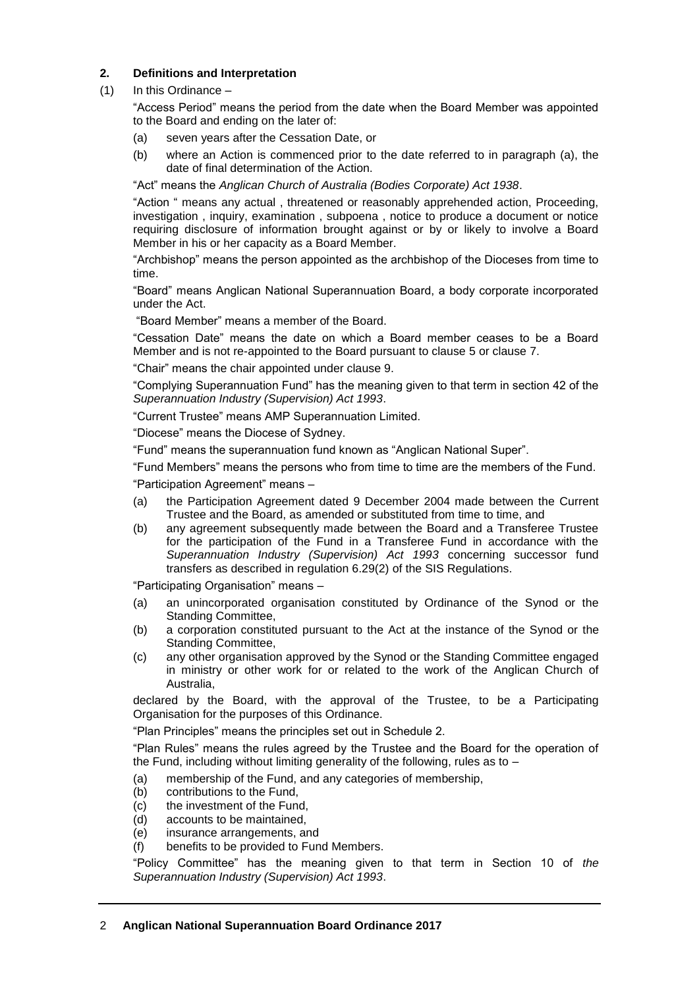## **2. Definitions and Interpretation**

## (1) In this Ordinance –

"Access Period" means the period from the date when the Board Member was appointed to the Board and ending on the later of:

- (a) seven years after the Cessation Date, or
- (b) where an Action is commenced prior to the date referred to in paragraph (a), the date of final determination of the Action.

"Act" means the *Anglican Church of Australia (Bodies Corporate) Act 1938*.

"Action " means any actual , threatened or reasonably apprehended action, Proceeding, investigation , inquiry, examination , subpoena , notice to produce a document or notice requiring disclosure of information brought against or by or likely to involve a Board Member in his or her capacity as a Board Member.

"Archbishop" means the person appointed as the archbishop of the Dioceses from time to time.

"Board" means Anglican National Superannuation Board, a body corporate incorporated under the Act.

"Board Member" means a member of the Board.

"Cessation Date" means the date on which a Board member ceases to be a Board Member and is not re-appointed to the Board pursuant to clause 5 or clause 7.

"Chair" means the chair appointed under clause 9.

"Complying Superannuation Fund" has the meaning given to that term in section 42 of the *Superannuation Industry (Supervision) Act 1993*.

"Current Trustee" means AMP Superannuation Limited.

"Diocese" means the Diocese of Sydney.

"Fund" means the superannuation fund known as "Anglican National Super".

"Fund Members" means the persons who from time to time are the members of the Fund. "Participation Agreement" means –

- (a) the Participation Agreement dated 9 December 2004 made between the Current Trustee and the Board, as amended or substituted from time to time, and
- (b) any agreement subsequently made between the Board and a Transferee Trustee for the participation of the Fund in a Transferee Fund in accordance with the *Superannuation Industry (Supervision) Act 1993* concerning successor fund transfers as described in regulation 6.29(2) of the SIS Regulations.

"Participating Organisation" means –

- (a) an unincorporated organisation constituted by Ordinance of the Synod or the Standing Committee,
- (b) a corporation constituted pursuant to the Act at the instance of the Synod or the Standing Committee,
- (c) any other organisation approved by the Synod or the Standing Committee engaged in ministry or other work for or related to the work of the Anglican Church of Australia,

declared by the Board, with the approval of the Trustee, to be a Participating Organisation for the purposes of this Ordinance.

"Plan Principles" means the principles set out in Schedule 2.

"Plan Rules" means the rules agreed by the Trustee and the Board for the operation of the Fund, including without limiting generality of the following, rules as to –

- (a) membership of the Fund, and any categories of membership,
- (b) contributions to the Fund,
- (c) the investment of the Fund,
- (d) accounts to be maintained,
- (e) insurance arrangements, and
- (f) benefits to be provided to Fund Members.

"Policy Committee" has the meaning given to that term in Section 10 of *the Superannuation Industry (Supervision) Act 1993*.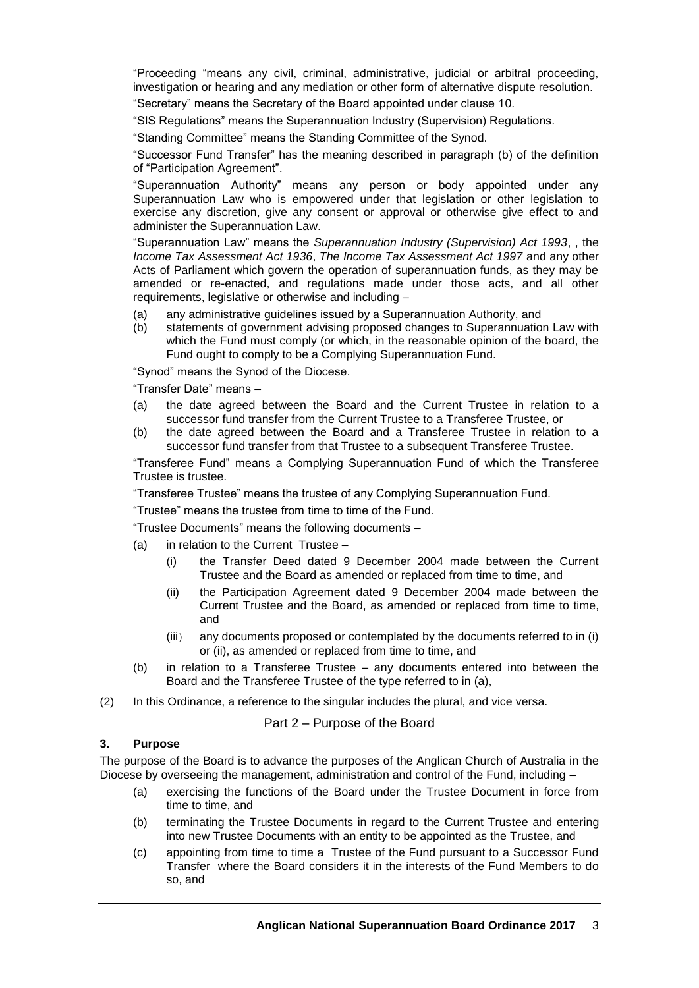"Proceeding "means any civil, criminal, administrative, judicial or arbitral proceeding, investigation or hearing and any mediation or other form of alternative dispute resolution.

"Secretary" means the Secretary of the Board appointed under clause 10.

"SIS Regulations" means the Superannuation Industry (Supervision) Regulations.

"Standing Committee" means the Standing Committee of the Synod.

"Successor Fund Transfer" has the meaning described in paragraph (b) of the definition of "Participation Agreement".

"Superannuation Authority" means any person or body appointed under any Superannuation Law who is empowered under that legislation or other legislation to exercise any discretion, give any consent or approval or otherwise give effect to and administer the Superannuation Law.

"Superannuation Law" means the *Superannuation Industry (Supervision) Act 1993*, , the *Income Tax Assessment Act 1936*, *The Income Tax Assessment Act 1997* and any other Acts of Parliament which govern the operation of superannuation funds, as they may be amended or re-enacted, and regulations made under those acts, and all other requirements, legislative or otherwise and including –

- (a) any administrative guidelines issued by a Superannuation Authority, and
- (b) statements of government advising proposed changes to Superannuation Law with which the Fund must comply (or which, in the reasonable opinion of the board, the Fund ought to comply to be a Complying Superannuation Fund.

"Synod" means the Synod of the Diocese.

"Transfer Date" means –

- (a) the date agreed between the Board and the Current Trustee in relation to a successor fund transfer from the Current Trustee to a Transferee Trustee, or
- (b) the date agreed between the Board and a Transferee Trustee in relation to a successor fund transfer from that Trustee to a subsequent Transferee Trustee.

"Transferee Fund" means a Complying Superannuation Fund of which the Transferee Trustee is trustee.

"Transferee Trustee" means the trustee of any Complying Superannuation Fund.

"Trustee" means the trustee from time to time of the Fund.

"Trustee Documents" means the following documents –

- (a) in relation to the Current Trustee
	- (i) the Transfer Deed dated 9 December 2004 made between the Current Trustee and the Board as amended or replaced from time to time, and
	- (ii) the Participation Agreement dated 9 December 2004 made between the Current Trustee and the Board, as amended or replaced from time to time, and
	- (iii) any documents proposed or contemplated by the documents referred to in (i) or (ii), as amended or replaced from time to time, and
- (b) in relation to a Transferee Trustee any documents entered into between the Board and the Transferee Trustee of the type referred to in (a),
- (2) In this Ordinance, a reference to the singular includes the plural, and vice versa.

Part 2 – Purpose of the Board

#### **3. Purpose**

The purpose of the Board is to advance the purposes of the Anglican Church of Australia in the Diocese by overseeing the management, administration and control of the Fund, including -

- (a) exercising the functions of the Board under the Trustee Document in force from time to time, and
- (b) terminating the Trustee Documents in regard to the Current Trustee and entering into new Trustee Documents with an entity to be appointed as the Trustee, and
- (c) appointing from time to time a Trustee of the Fund pursuant to a Successor Fund Transfer where the Board considers it in the interests of the Fund Members to do so, and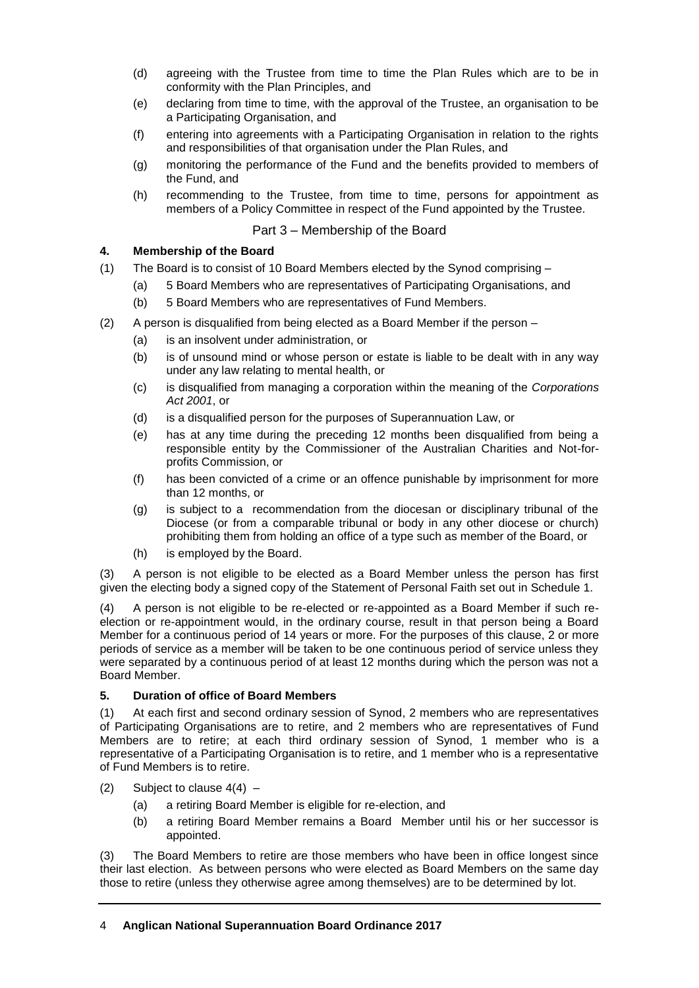- (d) agreeing with the Trustee from time to time the Plan Rules which are to be in conformity with the Plan Principles, and
- (e) declaring from time to time, with the approval of the Trustee, an organisation to be a Participating Organisation, and
- (f) entering into agreements with a Participating Organisation in relation to the rights and responsibilities of that organisation under the Plan Rules, and
- (g) monitoring the performance of the Fund and the benefits provided to members of the Fund, and
- (h) recommending to the Trustee, from time to time, persons for appointment as members of a Policy Committee in respect of the Fund appointed by the Trustee.

# Part 3 – Membership of the Board

# **4. Membership of the Board**

- (1) The Board is to consist of 10 Board Members elected by the Synod comprising
	- (a) 5 Board Members who are representatives of Participating Organisations, and
	- (b) 5 Board Members who are representatives of Fund Members.
- (2) A person is disqualified from being elected as a Board Member if the person
	- (a) is an insolvent under administration, or
	- (b) is of unsound mind or whose person or estate is liable to be dealt with in any way under any law relating to mental health, or
	- (c) is disqualified from managing a corporation within the meaning of the *Corporations Act 2001*, or
	- (d) is a disqualified person for the purposes of Superannuation Law, or
	- (e) has at any time during the preceding 12 months been disqualified from being a responsible entity by the Commissioner of the Australian Charities and Not-forprofits Commission, or
	- (f) has been convicted of a crime or an offence punishable by imprisonment for more than 12 months, or
	- (g) is subject to a recommendation from the diocesan or disciplinary tribunal of the Diocese (or from a comparable tribunal or body in any other diocese or church) prohibiting them from holding an office of a type such as member of the Board, or
	- (h) is employed by the Board.

(3) A person is not eligible to be elected as a Board Member unless the person has first given the electing body a signed copy of the Statement of Personal Faith set out in Schedule 1.

(4) A person is not eligible to be re-elected or re-appointed as a Board Member if such reelection or re-appointment would, in the ordinary course, result in that person being a Board Member for a continuous period of 14 years or more. For the purposes of this clause, 2 or more periods of service as a member will be taken to be one continuous period of service unless they were separated by a continuous period of at least 12 months during which the person was not a Board Member.

## **5. Duration of office of Board Members**

(1) At each first and second ordinary session of Synod, 2 members who are representatives of Participating Organisations are to retire, and 2 members who are representatives of Fund Members are to retire; at each third ordinary session of Synod, 1 member who is a representative of a Participating Organisation is to retire, and 1 member who is a representative of Fund Members is to retire.

- (2) Subject to clause  $4(4)$ 
	- (a) a retiring Board Member is eligible for re-election, and
	- (b) a retiring Board Member remains a Board Member until his or her successor is appointed.

(3) The Board Members to retire are those members who have been in office longest since their last election. As between persons who were elected as Board Members on the same day those to retire (unless they otherwise agree among themselves) are to be determined by lot.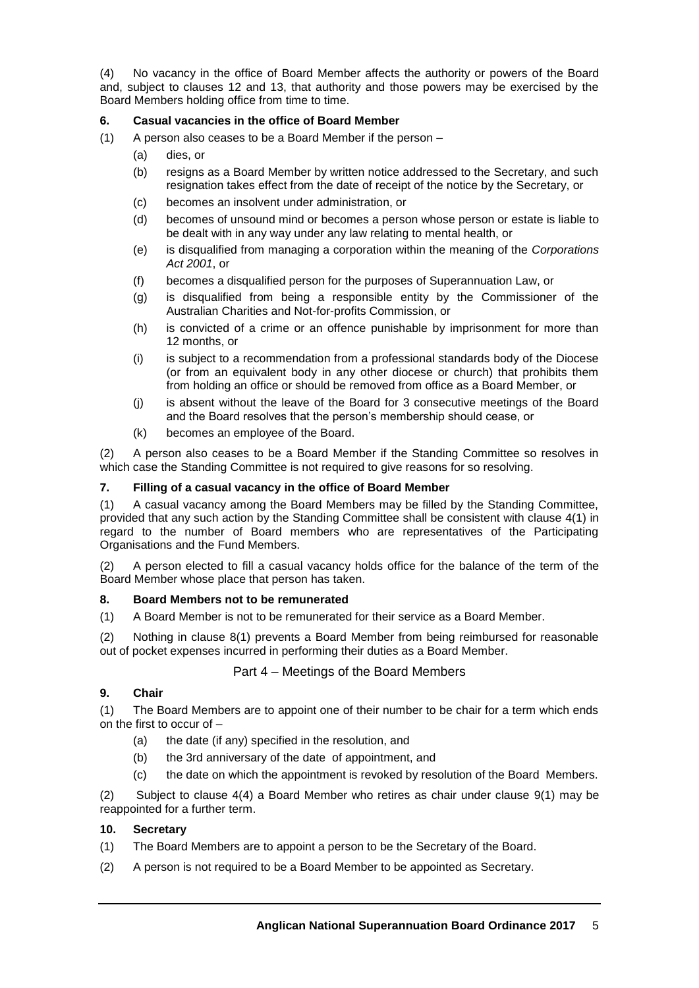(4) No vacancy in the office of Board Member affects the authority or powers of the Board and, subject to clauses 12 and 13, that authority and those powers may be exercised by the Board Members holding office from time to time.

## **6. Casual vacancies in the office of Board Member**

- (1) A person also ceases to be a Board Member if the person
	- (a) dies, or
	- (b) resigns as a Board Member by written notice addressed to the Secretary, and such resignation takes effect from the date of receipt of the notice by the Secretary, or
	- (c) becomes an insolvent under administration, or
	- (d) becomes of unsound mind or becomes a person whose person or estate is liable to be dealt with in any way under any law relating to mental health, or
	- (e) is disqualified from managing a corporation within the meaning of the *Corporations Act 2001*, or
	- (f) becomes a disqualified person for the purposes of Superannuation Law, or
	- (g) is disqualified from being a responsible entity by the Commissioner of the Australian Charities and Not-for-profits Commission, or
	- (h) is convicted of a crime or an offence punishable by imprisonment for more than 12 months, or
	- (i) is subject to a recommendation from a professional standards body of the Diocese (or from an equivalent body in any other diocese or church) that prohibits them from holding an office or should be removed from office as a Board Member, or
	- (j) is absent without the leave of the Board for 3 consecutive meetings of the Board and the Board resolves that the person's membership should cease, or
	- (k) becomes an employee of the Board.

(2) A person also ceases to be a Board Member if the Standing Committee so resolves in which case the Standing Committee is not required to give reasons for so resolving.

## **7. Filling of a casual vacancy in the office of Board Member**

(1) A casual vacancy among the Board Members may be filled by the Standing Committee, provided that any such action by the Standing Committee shall be consistent with clause 4(1) in regard to the number of Board members who are representatives of the Participating Organisations and the Fund Members.

(2) A person elected to fill a casual vacancy holds office for the balance of the term of the Board Member whose place that person has taken.

## **8. Board Members not to be remunerated**

(1) A Board Member is not to be remunerated for their service as a Board Member.

(2) Nothing in clause 8(1) prevents a Board Member from being reimbursed for reasonable out of pocket expenses incurred in performing their duties as a Board Member.

## Part 4 – Meetings of the Board Members

## **9. Chair**

(1) The Board Members are to appoint one of their number to be chair for a term which ends on the first to occur of –

- (a) the date (if any) specified in the resolution, and
- (b) the 3rd anniversary of the date of appointment, and
- (c) the date on which the appointment is revoked by resolution of the Board Members.

(2) Subject to clause 4(4) a Board Member who retires as chair under clause 9(1) may be reappointed for a further term.

## **10. Secretary**

- (1) The Board Members are to appoint a person to be the Secretary of the Board.
- (2) A person is not required to be a Board Member to be appointed as Secretary.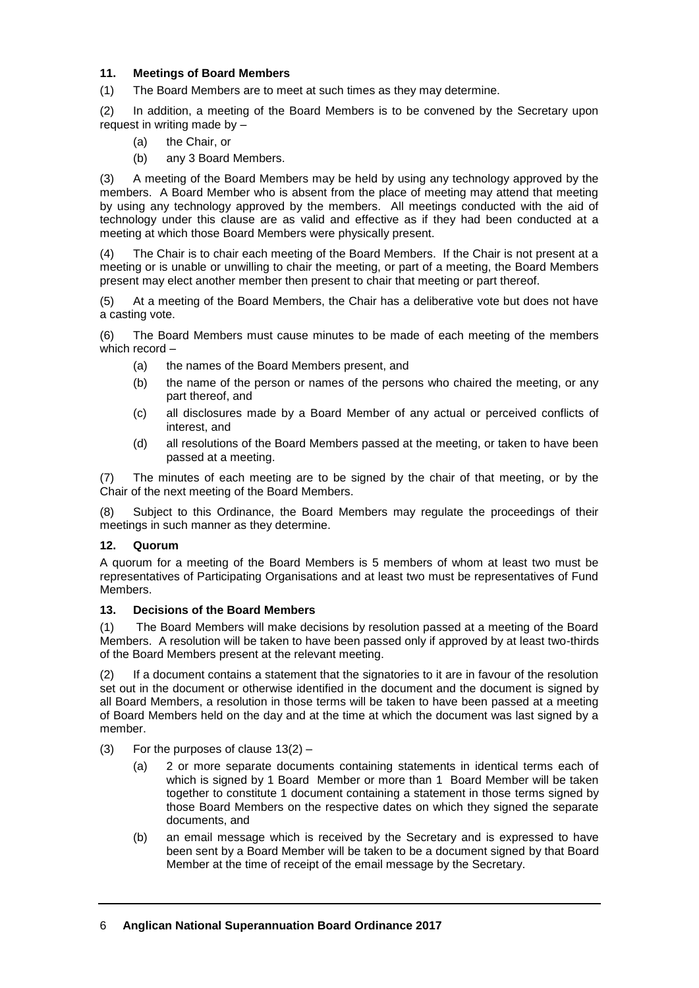## **11. Meetings of Board Members**

(1) The Board Members are to meet at such times as they may determine.

(2) In addition, a meeting of the Board Members is to be convened by the Secretary upon request in writing made by –

- (a) the Chair, or
- (b) any 3 Board Members.

(3) A meeting of the Board Members may be held by using any technology approved by the members. A Board Member who is absent from the place of meeting may attend that meeting by using any technology approved by the members. All meetings conducted with the aid of technology under this clause are as valid and effective as if they had been conducted at a meeting at which those Board Members were physically present.

(4) The Chair is to chair each meeting of the Board Members. If the Chair is not present at a meeting or is unable or unwilling to chair the meeting, or part of a meeting, the Board Members present may elect another member then present to chair that meeting or part thereof.

(5) At a meeting of the Board Members, the Chair has a deliberative vote but does not have a casting vote.

(6) The Board Members must cause minutes to be made of each meeting of the members which record –

- (a) the names of the Board Members present, and
- (b) the name of the person or names of the persons who chaired the meeting, or any part thereof, and
- (c) all disclosures made by a Board Member of any actual or perceived conflicts of interest, and
- (d) all resolutions of the Board Members passed at the meeting, or taken to have been passed at a meeting.

(7) The minutes of each meeting are to be signed by the chair of that meeting, or by the Chair of the next meeting of the Board Members.

(8) Subject to this Ordinance, the Board Members may regulate the proceedings of their meetings in such manner as they determine.

## **12. Quorum**

A quorum for a meeting of the Board Members is 5 members of whom at least two must be representatives of Participating Organisations and at least two must be representatives of Fund Members.

## **13. Decisions of the Board Members**

(1) The Board Members will make decisions by resolution passed at a meeting of the Board Members. A resolution will be taken to have been passed only if approved by at least two-thirds of the Board Members present at the relevant meeting.

(2) If a document contains a statement that the signatories to it are in favour of the resolution set out in the document or otherwise identified in the document and the document is signed by all Board Members, a resolution in those terms will be taken to have been passed at a meeting of Board Members held on the day and at the time at which the document was last signed by a member.

- (3) For the purposes of clause  $13(2)$ 
	- (a) 2 or more separate documents containing statements in identical terms each of which is signed by 1 Board Member or more than 1 Board Member will be taken together to constitute 1 document containing a statement in those terms signed by those Board Members on the respective dates on which they signed the separate documents, and
	- (b) an email message which is received by the Secretary and is expressed to have been sent by a Board Member will be taken to be a document signed by that Board Member at the time of receipt of the email message by the Secretary.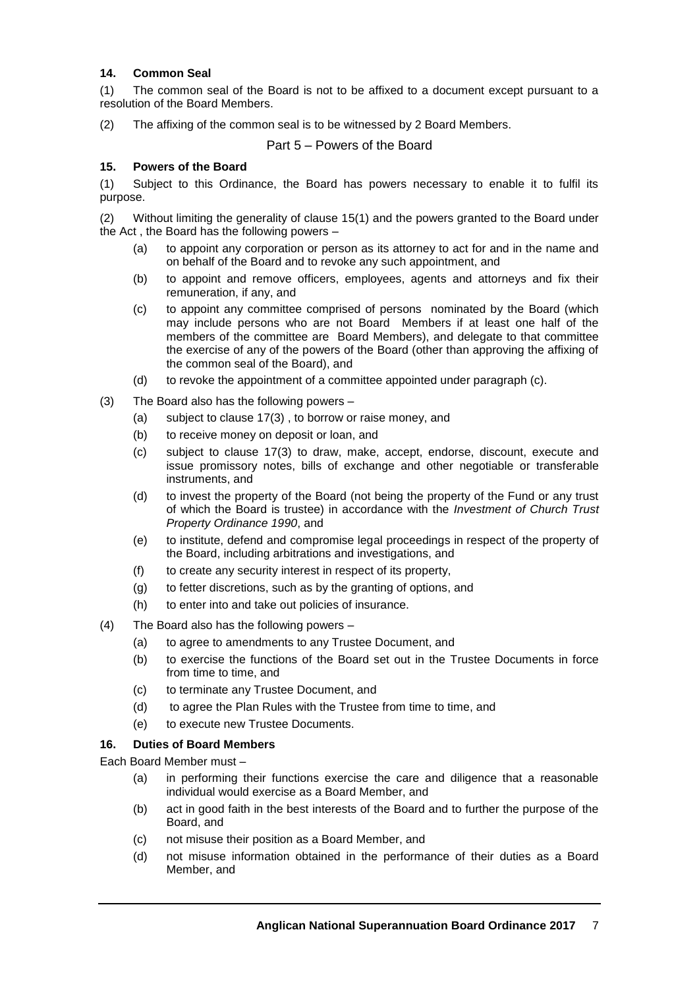## **14. Common Seal**

(1) The common seal of the Board is not to be affixed to a document except pursuant to a resolution of the Board Members.

(2) The affixing of the common seal is to be witnessed by 2 Board Members.

Part 5 – Powers of the Board

#### **15. Powers of the Board**

(1) Subject to this Ordinance, the Board has powers necessary to enable it to fulfil its purpose.

(2) Without limiting the generality of clause 15(1) and the powers granted to the Board under the Act , the Board has the following powers –

- (a) to appoint any corporation or person as its attorney to act for and in the name and on behalf of the Board and to revoke any such appointment, and
- (b) to appoint and remove officers, employees, agents and attorneys and fix their remuneration, if any, and
- (c) to appoint any committee comprised of persons nominated by the Board (which may include persons who are not Board Members if at least one half of the members of the committee are Board Members), and delegate to that committee the exercise of any of the powers of the Board (other than approving the affixing of the common seal of the Board), and
- (d) to revoke the appointment of a committee appointed under paragraph (c).
- (3) The Board also has the following powers
	- (a) subject to clause 17(3) , to borrow or raise money, and
	- (b) to receive money on deposit or loan, and
	- (c) subject to clause 17(3) to draw, make, accept, endorse, discount, execute and issue promissory notes, bills of exchange and other negotiable or transferable instruments, and
	- (d) to invest the property of the Board (not being the property of the Fund or any trust of which the Board is trustee) in accordance with the *Investment of Church Trust Property Ordinance 1990*, and
	- (e) to institute, defend and compromise legal proceedings in respect of the property of the Board, including arbitrations and investigations, and
	- (f) to create any security interest in respect of its property,
	- (g) to fetter discretions, such as by the granting of options, and
	- (h) to enter into and take out policies of insurance.
- (4) The Board also has the following powers
	- (a) to agree to amendments to any Trustee Document, and
	- (b) to exercise the functions of the Board set out in the Trustee Documents in force from time to time, and
	- (c) to terminate any Trustee Document, and
	- (d) to agree the Plan Rules with the Trustee from time to time, and
	- (e) to execute new Trustee Documents.

## **16. Duties of Board Members**

Each Board Member must –

- (a) in performing their functions exercise the care and diligence that a reasonable individual would exercise as a Board Member, and
- (b) act in good faith in the best interests of the Board and to further the purpose of the Board, and
- (c) not misuse their position as a Board Member, and
- (d) not misuse information obtained in the performance of their duties as a Board Member, and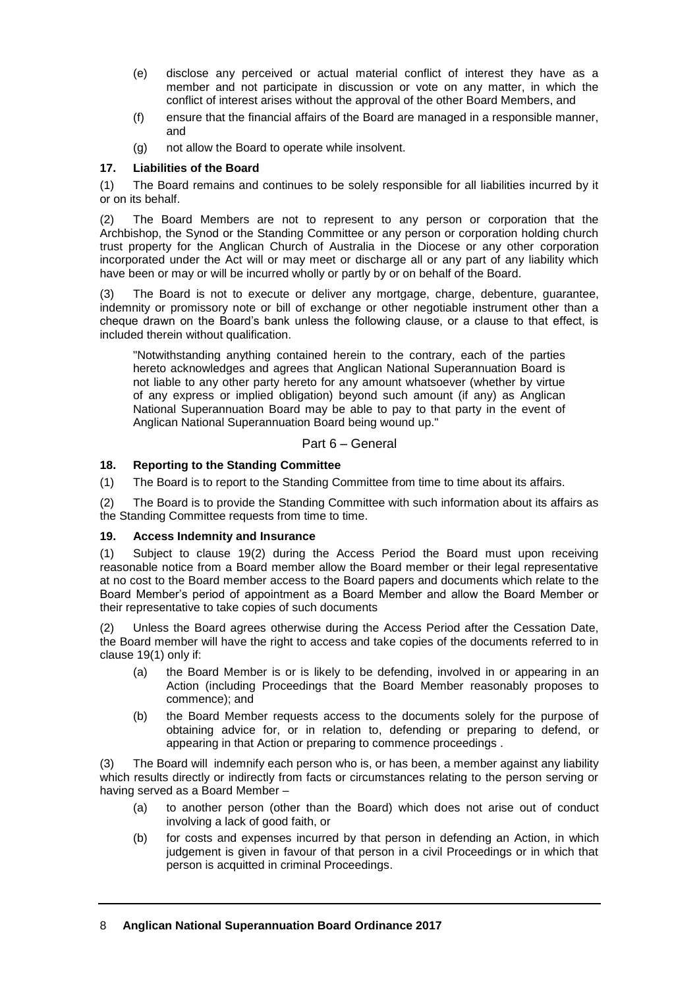- (e) disclose any perceived or actual material conflict of interest they have as a member and not participate in discussion or vote on any matter, in which the conflict of interest arises without the approval of the other Board Members, and
- (f) ensure that the financial affairs of the Board are managed in a responsible manner, and
- (g) not allow the Board to operate while insolvent.

# **17. Liabilities of the Board**

(1) The Board remains and continues to be solely responsible for all liabilities incurred by it or on its behalf.

(2) The Board Members are not to represent to any person or corporation that the Archbishop, the Synod or the Standing Committee or any person or corporation holding church trust property for the Anglican Church of Australia in the Diocese or any other corporation incorporated under the Act will or may meet or discharge all or any part of any liability which have been or may or will be incurred wholly or partly by or on behalf of the Board.

(3) The Board is not to execute or deliver any mortgage, charge, debenture, guarantee, indemnity or promissory note or bill of exchange or other negotiable instrument other than a cheque drawn on the Board's bank unless the following clause, or a clause to that effect, is included therein without qualification.

"Notwithstanding anything contained herein to the contrary, each of the parties hereto acknowledges and agrees that Anglican National Superannuation Board is not liable to any other party hereto for any amount whatsoever (whether by virtue of any express or implied obligation) beyond such amount (if any) as Anglican National Superannuation Board may be able to pay to that party in the event of Anglican National Superannuation Board being wound up."

# Part 6 – General

## **18. Reporting to the Standing Committee**

(1) The Board is to report to the Standing Committee from time to time about its affairs.

(2) The Board is to provide the Standing Committee with such information about its affairs as the Standing Committee requests from time to time.

## **19. Access Indemnity and Insurance**

(1) Subject to clause 19(2) during the Access Period the Board must upon receiving reasonable notice from a Board member allow the Board member or their legal representative at no cost to the Board member access to the Board papers and documents which relate to the Board Member's period of appointment as a Board Member and allow the Board Member or their representative to take copies of such documents

(2) Unless the Board agrees otherwise during the Access Period after the Cessation Date, the Board member will have the right to access and take copies of the documents referred to in clause 19(1) only if:

- (a) the Board Member is or is likely to be defending, involved in or appearing in an Action (including Proceedings that the Board Member reasonably proposes to commence); and
- (b) the Board Member requests access to the documents solely for the purpose of obtaining advice for, or in relation to, defending or preparing to defend, or appearing in that Action or preparing to commence proceedings .

(3) The Board will indemnify each person who is, or has been, a member against any liability which results directly or indirectly from facts or circumstances relating to the person serving or having served as a Board Member –

- (a) to another person (other than the Board) which does not arise out of conduct involving a lack of good faith, or
- (b) for costs and expenses incurred by that person in defending an Action, in which judgement is given in favour of that person in a civil Proceedings or in which that person is acquitted in criminal Proceedings.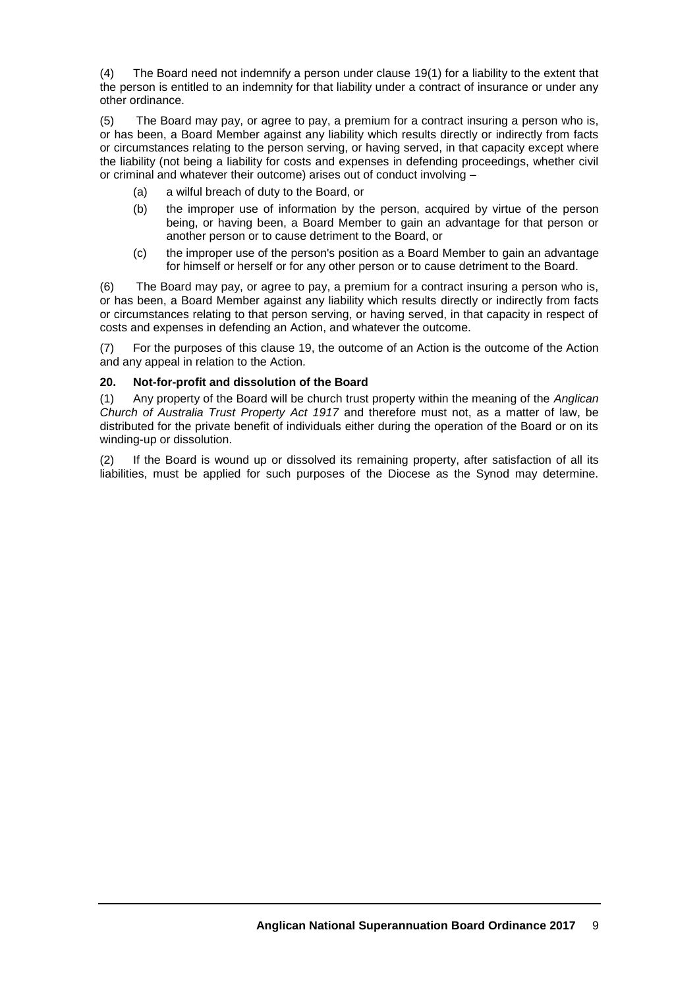(4) The Board need not indemnify a person under clause 19(1) for a liability to the extent that the person is entitled to an indemnity for that liability under a contract of insurance or under any other ordinance.

(5) The Board may pay, or agree to pay, a premium for a contract insuring a person who is, or has been, a Board Member against any liability which results directly or indirectly from facts or circumstances relating to the person serving, or having served, in that capacity except where the liability (not being a liability for costs and expenses in defending proceedings, whether civil or criminal and whatever their outcome) arises out of conduct involving –

- (a) a wilful breach of duty to the Board, or
- (b) the improper use of information by the person, acquired by virtue of the person being, or having been, a Board Member to gain an advantage for that person or another person or to cause detriment to the Board, or
- (c) the improper use of the person's position as a Board Member to gain an advantage for himself or herself or for any other person or to cause detriment to the Board.

(6) The Board may pay, or agree to pay, a premium for a contract insuring a person who is, or has been, a Board Member against any liability which results directly or indirectly from facts or circumstances relating to that person serving, or having served, in that capacity in respect of costs and expenses in defending an Action, and whatever the outcome.

(7) For the purposes of this clause 19, the outcome of an Action is the outcome of the Action and any appeal in relation to the Action.

## **20. Not-for-profit and dissolution of the Board**

(1) Any property of the Board will be church trust property within the meaning of the *Anglican Church of Australia Trust Property Act 1917* and therefore must not, as a matter of law, be distributed for the private benefit of individuals either during the operation of the Board or on its winding-up or dissolution.

(2) If the Board is wound up or dissolved its remaining property, after satisfaction of all its liabilities, must be applied for such purposes of the Diocese as the Synod may determine.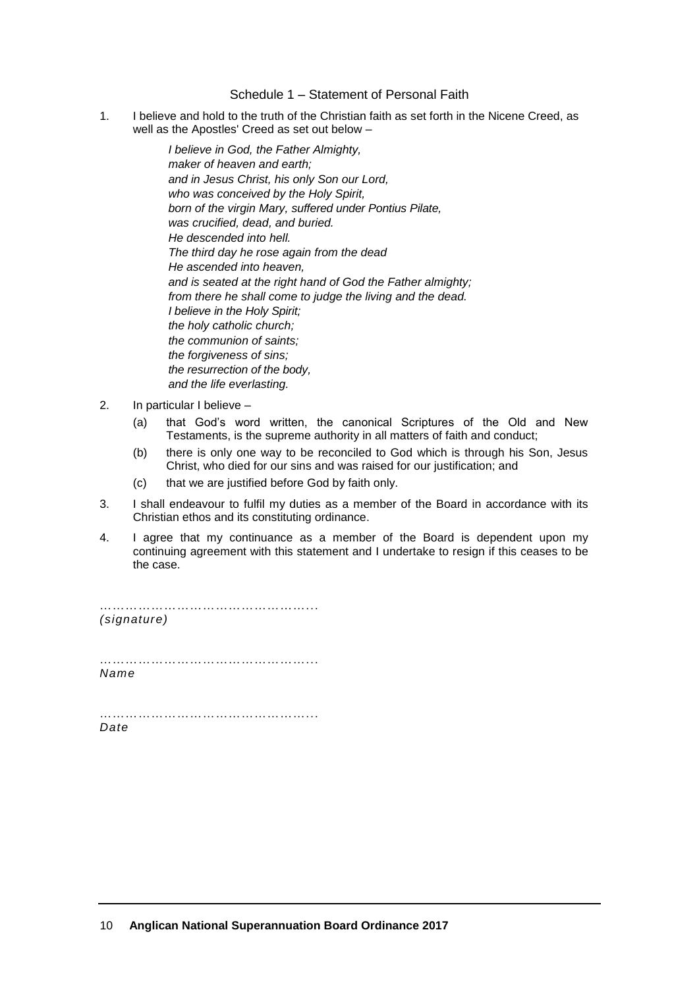#### Schedule 1 – Statement of Personal Faith

1. I believe and hold to the truth of the Christian faith as set forth in the Nicene Creed, as well as the Apostles' Creed as set out below –

> *I believe in God, the Father Almighty, maker of heaven and earth; and in Jesus Christ, his only Son our Lord, who was conceived by the Holy Spirit, born of the virgin Mary, suffered under Pontius Pilate, was crucified, dead, and buried. He descended into hell. The third day he rose again from the dead He ascended into heaven, and is seated at the right hand of God the Father almighty; from there he shall come to judge the living and the dead. I believe in the Holy Spirit; the holy catholic church; the communion of saints; the forgiveness of sins; the resurrection of the body, and the life everlasting.*

- 2. In particular I believe
	- (a) that God's word written, the canonical Scriptures of the Old and New Testaments, is the supreme authority in all matters of faith and conduct;
	- (b) there is only one way to be reconciled to God which is through his Son, Jesus Christ, who died for our sins and was raised for our justification; and
	- (c) that we are justified before God by faith only.
- 3. I shall endeavour to fulfil my duties as a member of the Board in accordance with its Christian ethos and its constituting ordinance.
- 4. I agree that my continuance as a member of the Board is dependent upon my continuing agreement with this statement and I undertake to resign if this ceases to be the case.

……………………………………………………… *(signature)*

…………………………………………... *Name*

…………………………………………………………… *Date*